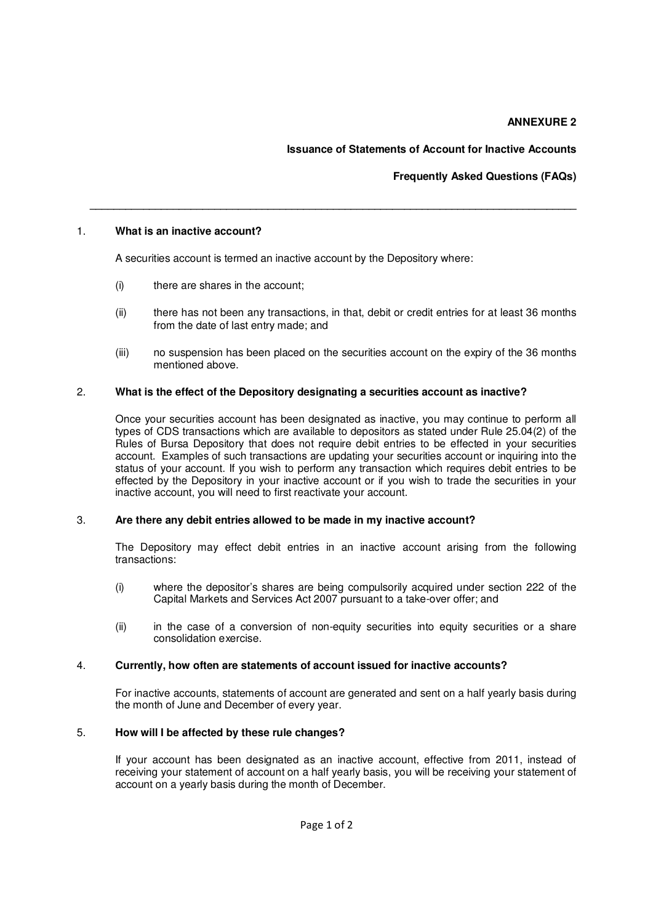## **ANNEXURE 2**

# **Issuance of Statements of Account for Inactive Accounts**

# **Frequently Asked Questions (FAQs)**

### 1. **What is an inactive account?**

A securities account is termed an inactive account by the Depository where:

- (i) there are shares in the account;
- (ii) there has not been any transactions, in that, debit or credit entries for at least 36 months from the date of last entry made; and

**\_\_\_\_\_\_\_\_\_\_\_\_\_\_\_\_\_\_\_\_\_\_\_\_\_\_\_\_\_\_\_\_\_\_\_\_\_\_\_\_\_\_\_\_\_\_\_\_\_\_\_\_\_\_\_\_\_\_\_\_\_\_\_\_\_\_\_\_\_\_\_\_\_\_\_\_\_\_\_\_\_\_** 

(iii) no suspension has been placed on the securities account on the expiry of the 36 months mentioned above.

## 2. **What is the effect of the Depository designating a securities account as inactive?**

Once your securities account has been designated as inactive, you may continue to perform all types of CDS transactions which are available to depositors as stated under Rule 25.04(2) of the Rules of Bursa Depository that does not require debit entries to be effected in your securities account. Examples of such transactions are updating your securities account or inquiring into the status of your account. If you wish to perform any transaction which requires debit entries to be effected by the Depository in your inactive account or if you wish to trade the securities in your inactive account, you will need to first reactivate your account.

### 3. **Are there any debit entries allowed to be made in my inactive account?**

The Depository may effect debit entries in an inactive account arising from the following transactions:

- (i) where the depositor's shares are being compulsorily acquired under section 222 of the Capital Markets and Services Act 2007 pursuant to a take-over offer; and
- (ii) in the case of a conversion of non-equity securities into equity securities or a share consolidation exercise.

### 4. **Currently, how often are statements of account issued for inactive accounts?**

For inactive accounts, statements of account are generated and sent on a half yearly basis during the month of June and December of every year.

### 5. **How will I be affected by these rule changes?**

If your account has been designated as an inactive account, effective from 2011, instead of receiving your statement of account on a half yearly basis, you will be receiving your statement of account on a yearly basis during the month of December.